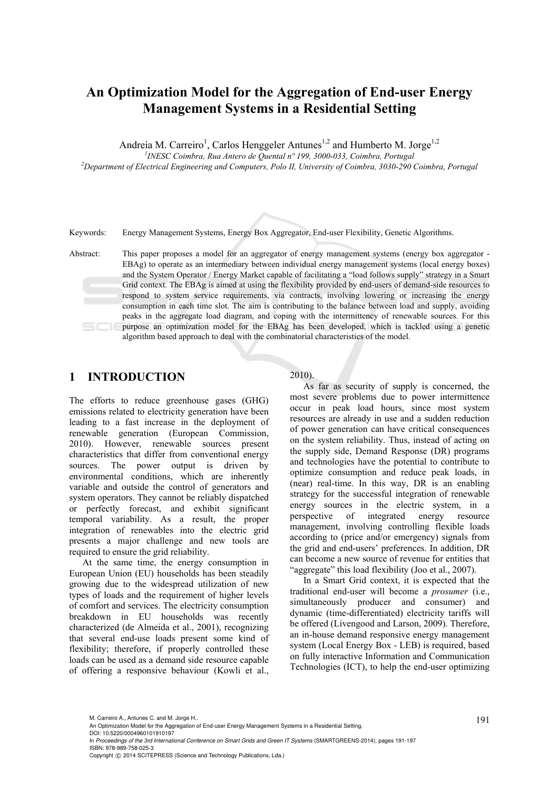# **An Optimization Model for the Aggregation of End-user Energy Management Systems in a Residential Setting**

Andreia M. Carreiro<sup>1</sup>, Carlos Henggeler Antunes<sup>1,2</sup> and Humberto M. Jorge<sup>1,2</sup>

<sup>1</sup> *INESC Coimbra, Rua Antero de Quental nº 199, 3000-033, Coimbra, Portugal*<sup>2</sup><br><sup>2</sup> Department of Electrical Engineering and Computers, Polo II, University of Coimbra, 2020, 2004

*Department of Electrical Engineering and Computers, Polo II, University of Coimbra, 3030-290 Coimbra, Portugal* 

Keywords: Energy Management Systems, Energy Box Aggregator, End-user Flexibility, Genetic Algorithms.

Abstract: This paper proposes a model for an aggregator of energy management systems (energy box aggregator - EBAg) to operate as an intermediary between individual energy management systems (local energy boxes) and the System Operator / Energy Market capable of facilitating a "load follows supply" strategy in a Smart Grid context. The EBAg is aimed at using the flexibility provided by end-users of demand-side resources to respond to system service requirements, via contracts, involving lowering or increasing the energy consumption in each time slot. The aim is contributing to the balance between load and supply, avoiding peaks in the aggregate load diagram, and coping with the intermittency of renewable sources. For this purpose an optimization model for the EBAg has been developed, which is tackled using a genetic algorithm based approach to deal with the combinatorial characteristics of the model.

### **1 INTRODUCTION**

The efforts to reduce greenhouse gases (GHG) emissions related to electricity generation have been leading to a fast increase in the deployment of renewable generation (European Commission, 2010). However, renewable sources present characteristics that differ from conventional energy sources. The power output is driven by environmental conditions, which are inherently variable and outside the control of generators and system operators. They cannot be reliably dispatched or perfectly forecast, and exhibit significant temporal variability. As a result, the proper integration of renewables into the electric grid presents a major challenge and new tools are required to ensure the grid reliability.

At the same time, the energy consumption in European Union (EU) households has been steadily growing due to the widespread utilization of new types of loads and the requirement of higher levels of comfort and services. The electricity consumption breakdown in EU households was recently characterized (de Almeida et al., 2001), recognizing that several end-use loads present some kind of flexibility; therefore, if properly controlled these loads can be used as a demand side resource capable of offering a responsive behaviour (Kowli et al.,

#### 2010).

As far as security of supply is concerned, the most severe problems due to power intermittence occur in peak load hours, since most system resources are already in use and a sudden reduction of power generation can have critical consequences on the system reliability. Thus, instead of acting on the supply side, Demand Response (DR) programs and technologies have the potential to contribute to optimize consumption and reduce peak loads, in (near) real-time. In this way, DR is an enabling strategy for the successful integration of renewable energy sources in the electric system, in a perspective of integrated energy resource management, involving controlling flexible loads according to (price and/or emergency) signals from the grid and end-users' preferences. In addition, DR can become a new source of revenue for entities that "aggregate" this load flexibility (Joo et al., 2007).

In a Smart Grid context, it is expected that the traditional end-user will become a *prosumer* (i.e., simultaneously producer and consumer) and dynamic (time-differentiated) electricity tariffs will be offered (Livengood and Larson, 2009). Therefore, an in-house demand responsive energy management system (Local Energy Box - LEB) is required, based on fully interactive Information and Communication Technologies (ICT), to help the end-user optimizing

DOI: 10.5220/0004960101910197

<sup>191</sup> M. Carreiro A., Antunes C. and M. Jorge H.. An Optimization Model for the Aggregation of End-user Energy Management Systems in a Residential Setting.

In *Proceedings of the 3rd International Conference on Smart Grids and Green IT Systems* (SMARTGREENS-2014), pages 191-197 ISBN: 978-989-758-025-3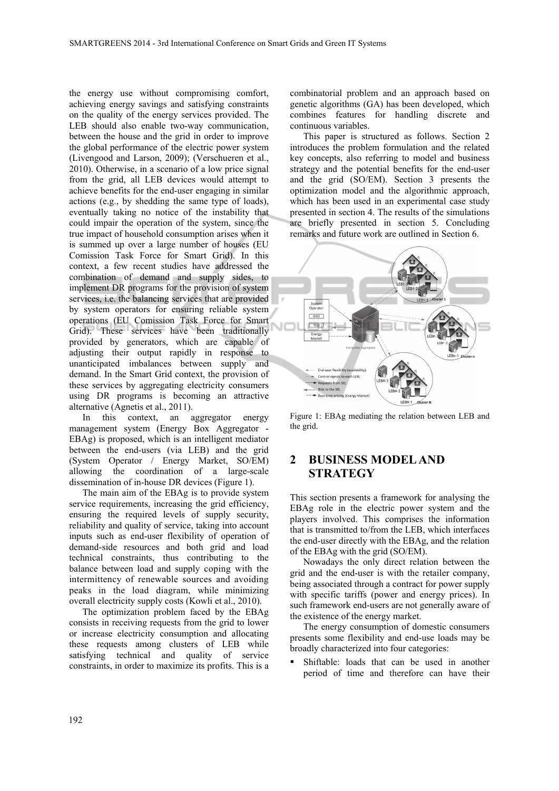the energy use without compromising comfort, achieving energy savings and satisfying constraints on the quality of the energy services provided. The LEB should also enable two-way communication, between the house and the grid in order to improve the global performance of the electric power system (Livengood and Larson, 2009); (Verschueren et al., 2010). Otherwise, in a scenario of a low price signal from the grid, all LEB devices would attempt to achieve benefits for the end-user engaging in similar actions (e.g., by shedding the same type of loads), eventually taking no notice of the instability that could impair the operation of the system, since the true impact of household consumption arises when it is summed up over a large number of houses (EU Comission Task Force for Smart Grid). In this context, a few recent studies have addressed the combination of demand and supply sides, to implement DR programs for the provision of system services, i.e. the balancing services that are provided by system operators for ensuring reliable system operations (EU Comission Task Force for Smart Grid). These services have been traditionally provided by generators, which are capable of adjusting their output rapidly in response to unanticipated imbalances between supply and demand. In the Smart Grid context, the provision of these services by aggregating electricity consumers using DR programs is becoming an attractive alternative (Agnetis et al., 2011).

In this context, an aggregator energy management system (Energy Box Aggregator - EBAg) is proposed, which is an intelligent mediator between the end-users (via LEB) and the grid (System Operator / Energy Market, SO/EM) allowing the coordination of a large-scale dissemination of in-house DR devices (Figure 1).

The main aim of the EBAg is to provide system service requirements, increasing the grid efficiency, ensuring the required levels of supply security, reliability and quality of service, taking into account inputs such as end-user flexibility of operation of demand-side resources and both grid and load technical constraints, thus contributing to the balance between load and supply coping with the intermittency of renewable sources and avoiding peaks in the load diagram, while minimizing overall electricity supply costs (Kowli et al., 2010).

The optimization problem faced by the EBAg consists in receiving requests from the grid to lower or increase electricity consumption and allocating these requests among clusters of LEB while satisfying technical and quality of service constraints, in order to maximize its profits. This is a

combinatorial problem and an approach based on genetic algorithms (GA) has been developed, which combines features for handling discrete and continuous variables.

This paper is structured as follows. Section 2 introduces the problem formulation and the related key concepts, also referring to model and business strategy and the potential benefits for the end-user and the grid (SO/EM). Section 3 presents the optimization model and the algorithmic approach, which has been used in an experimental case study presented in section 4. The results of the simulations are briefly presented in section 5. Concluding remarks and future work are outlined in Section 6.



Figure 1: EBAg mediating the relation between LEB and the grid.

# **2 BUSINESS MODEL AND STRATEGY**

This section presents a framework for analysing the EBAg role in the electric power system and the players involved. This comprises the information that is transmitted to/from the LEB, which interfaces the end-user directly with the EBAg, and the relation of the EBAg with the grid (SO/EM).

Nowadays the only direct relation between the grid and the end-user is with the retailer company, being associated through a contract for power supply with specific tariffs (power and energy prices). In such framework end-users are not generally aware of the existence of the energy market.

The energy consumption of domestic consumers presents some flexibility and end-use loads may be broadly characterized into four categories:

 Shiftable: loads that can be used in another period of time and therefore can have their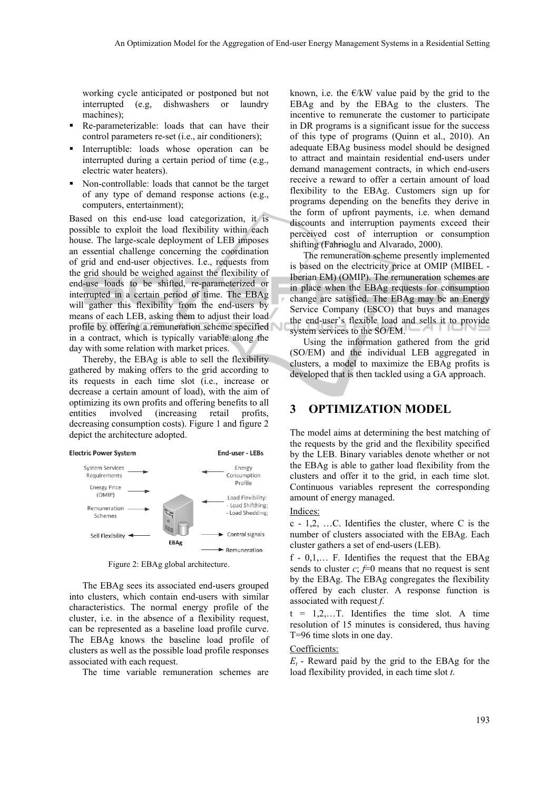working cycle anticipated or postponed but not interrupted (e.g, dishwashers or laundry machines);

- Re-parameterizable: loads that can have their control parameters re-set (i.e., air conditioners);
- **Interruptible:** loads whose operation can be interrupted during a certain period of time (e.g., electric water heaters).
- Non-controllable: loads that cannot be the target of any type of demand response actions (e.g., computers, entertainment);

Based on this end-use load categorization, it is possible to exploit the load flexibility within each house. The large-scale deployment of LEB imposes an essential challenge concerning the coordination of grid and end-user objectives. I.e., requests from the grid should be weighed against the flexibility of end-use loads to be shifted, re-parameterized or interrupted in a certain period of time. The EBAg will gather this flexibility from the end-users by means of each LEB, asking them to adjust their load profile by offering a remuneration scheme specified in a contract, which is typically variable along the day with some relation with market prices.

Thereby, the EBAg is able to sell the flexibility gathered by making offers to the grid according to its requests in each time slot (i.e., increase or decrease a certain amount of load), with the aim of optimizing its own profits and offering benefits to all entities involved (increasing retail profits, decreasing consumption costs). Figure 1 and figure 2 depict the architecture adopted.



Figure 2: EBAg global architecture.

The EBAg sees its associated end-users grouped into clusters, which contain end-users with similar characteristics. The normal energy profile of the cluster, i.e. in the absence of a flexibility request, can be represented as a baseline load profile curve. The EBAg knows the baseline load profile of clusters as well as the possible load profile responses associated with each request.

The time variable remuneration schemes are

known, i.e. the  $E/kW$  value paid by the grid to the EBAg and by the EBAg to the clusters. The incentive to remunerate the customer to participate in DR programs is a significant issue for the success of this type of programs (Quinn et al., 2010). An adequate EBAg business model should be designed to attract and maintain residential end-users under demand management contracts, in which end-users receive a reward to offer a certain amount of load flexibility to the EBAg. Customers sign up for programs depending on the benefits they derive in the form of upfront payments, i.e. when demand discounts and interruption payments exceed their perceived cost of interruption or consumption shifting (Fahrioglu and Alvarado, 2000).

The remuneration scheme presently implemented is based on the electricity price at OMIP (MIBEL - Iberian EM) (OMIP). The remuneration schemes are in place when the EBAg requests for consumption change are satisfied. The EBAg may be an Energy Service Company (ESCO) that buys and manages the end-user's flexible load and sells it to provide system services to the SO/EM.

Using the information gathered from the grid (SO/EM) and the individual LEB aggregated in clusters, a model to maximize the EBAg profits is developed that is then tackled using a GA approach.

### **3 OPTIMIZATION MODEL**

The model aims at determining the best matching of the requests by the grid and the flexibility specified by the LEB. Binary variables denote whether or not the EBAg is able to gather load flexibility from the clusters and offer it to the grid, in each time slot. Continuous variables represent the corresponding amount of energy managed.

#### Indices:

c - 1,2, …C. Identifies the cluster, where C is the number of clusters associated with the EBAg. Each cluster gathers a set of end-users (LEB).

 $f - 0, 1, \ldots$  F. Identifies the request that the EBAg sends to cluster  $c$ ;  $f=0$  means that no request is sent by the EBAg. The EBAg congregates the flexibility offered by each cluster. A response function is associated with request *f*.

 $t = 1, 2, \ldots$  T. Identifies the time slot. A time resolution of 15 minutes is considered, thus having T=96 time slots in one day.

#### Coefficients:

 $E_t$  - Reward paid by the grid to the EBAg for the load flexibility provided, in each time slot *t*.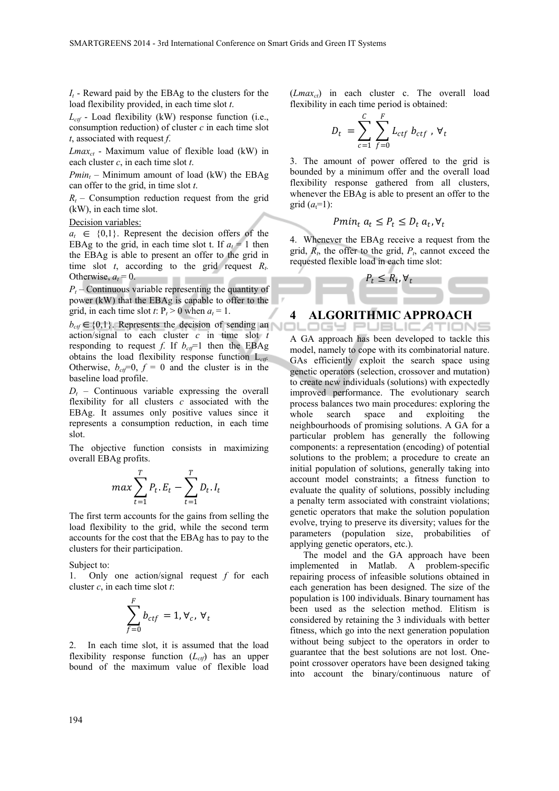$I_t$  - Reward paid by the EBAg to the clusters for the load flexibility provided, in each time slot *t*.

*Lctf* - Load flexibility (kW) response function (i.e., consumption reduction) of cluster *c* in each time slot *t*, associated with request *f*.

*Lmaxct* - Maximum value of flexible load (kW) in each cluster *c*, in each time slot *t*.

*Pmin<sub>t</sub>* – Minimum amount of load (kW) the EBAg can offer to the grid, in time slot *t*.

 $R<sub>t</sub>$  – Consumption reduction request from the grid (kW), in each time slot.

Decision variables:

 $a_t \in \{0,1\}$ . Represent the decision offers of the EBAg to the grid, in each time slot t. If  $a_t = 1$  then the EBAg is able to present an offer to the grid in time slot *t*, according to the grid request  $R_t$ . Otherwise,  $a_t = 0$ . . . .

 $P_t$  – Continuous variable representing the quantity of power (kW) that the EBAg is capable to offer to the grid, in each time slot *t*:  $P_t > 0$  when  $a_t = 1$ .

 $b_{\text{cf}} \in \{0,1\}$ . Represents the decision of sending an action/signal to each cluster *c* in time slot *t* responding to request *f*. If  $b_{ct}$ =1 then the EBAg obtains the load flexibility response function L*ctf.*  Otherwise,  $b_{\text{cf}}=0$ ,  $f=0$  and the cluster is in the baseline load profile.

 $D_t$  – Continuous variable expressing the overall flexibility for all clusters *c* associated with the EBAg. It assumes only positive values since it represents a consumption reduction, in each time slot.

The objective function consists in maximizing overall EBAg profits.

$$
max \sum_{t=1}^{T} P_t \cdot E_t - \sum_{t=1}^{T} D_t \cdot I_t
$$

The first term accounts for the gains from selling the load flexibility to the grid, while the second term accounts for the cost that the EBAg has to pay to the clusters for their participation.

Subject to:

1. Only one action/signal request *f* for each cluster *c*, in each time slot *t*:

$$
\sum_{f=0}^{F} b_{ctf} = 1, \forall_c, \forall_t
$$

2. In each time slot, it is assumed that the load flexibility response function  $(L_{\text{ctf}})$  has an upper bound of the maximum value of flexible load  $(Lmax_{ct})$  in each cluster c. The overall load flexibility in each time period is obtained:

$$
D_t = \sum_{c=1}^C \sum_{f=0}^F L_{ctf} b_{ctf} , \forall_t
$$

3. The amount of power offered to the grid is bounded by a minimum offer and the overall load flexibility response gathered from all clusters, whenever the EBAg is able to present an offer to the grid  $(a_t=1)$ :

$$
Pmin_t a_t \le P_t \le D_t a_t, \forall_t
$$

4. Whenever the EBAg receive a request from the grid,  $R_t$ , the offer to the grid,  $P_t$ , cannot exceed the requested flexible load in each time slot:

$$
P_t \leq R_t, \forall_t
$$

### **4 ALGORITHMIC APPROACH**

OGY PUBLICATION A GA approach has been developed to tackle this model, namely to cope with its combinatorial nature. GAs efficiently exploit the search space using genetic operators (selection, crossover and mutation) to create new individuals (solutions) with expectedly improved performance. The evolutionary search process balances two main procedures: exploring the whole search space and exploiting the neighbourhoods of promising solutions. A GA for a particular problem has generally the following components: a representation (encoding) of potential solutions to the problem; a procedure to create an initial population of solutions, generally taking into account model constraints; a fitness function to evaluate the quality of solutions, possibly including a penalty term associated with constraint violations; genetic operators that make the solution population evolve, trying to preserve its diversity; values for the parameters (population size, probabilities of applying genetic operators, etc.).

The model and the GA approach have been implemented in Matlab. A problem-specific repairing process of infeasible solutions obtained in each generation has been designed. The size of the population is 100 individuals. Binary tournament has been used as the selection method. Elitism is considered by retaining the 3 individuals with better fitness, which go into the next generation population without being subject to the operators in order to guarantee that the best solutions are not lost. Onepoint crossover operators have been designed taking into account the binary/continuous nature of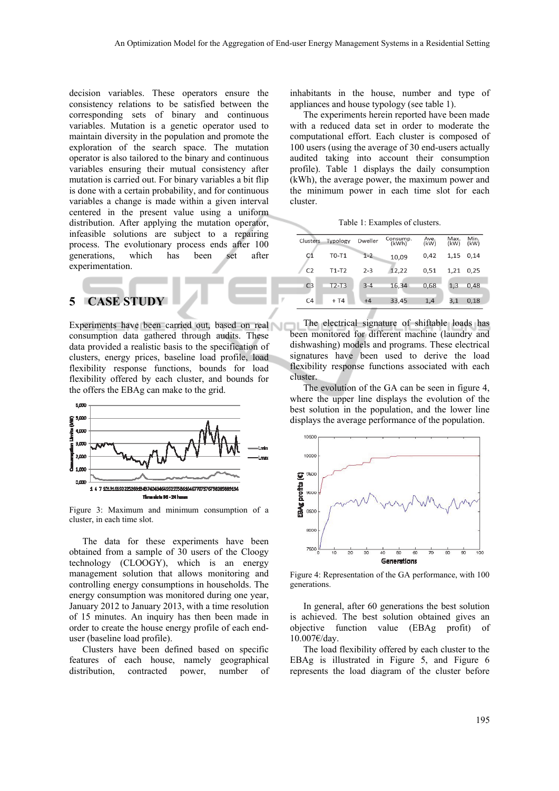decision variables. These operators ensure the consistency relations to be satisfied between the corresponding sets of binary and continuous variables. Mutation is a genetic operator used to maintain diversity in the population and promote the exploration of the search space. The mutation operator is also tailored to the binary and continuous variables ensuring their mutual consistency after mutation is carried out. For binary variables a bit flip is done with a certain probability, and for continuous variables a change is made within a given interval centered in the present value using a uniform distribution. After applying the mutation operator, infeasible solutions are subject to a repairing process. The evolutionary process ends after 100 generations, which has been set after experimentation.

# **5 CASE STUDY**

Experiments have been carried out, based on real consumption data gathered through audits. These data provided a realistic basis to the specification of clusters, energy prices, baseline load profile, load flexibility response functions, bounds for load flexibility offered by each cluster, and bounds for the offers the EBAg can make to the grid.



Figure 3: Maximum and minimum consumption of a cluster, in each time slot.

The data for these experiments have been obtained from a sample of 30 users of the Cloogy technology (CLOOGY), which is an energy management solution that allows monitoring and controlling energy consumptions in households. The energy consumption was monitored during one year, January 2012 to January 2013, with a time resolution of 15 minutes. An inquiry has then been made in order to create the house energy profile of each enduser (baseline load profile).

Clusters have been defined based on specific features of each house, namely geographical distribution, contracted power, number of

inhabitants in the house, number and type of appliances and house typology (see table 1).

The experiments herein reported have been made with a reduced data set in order to moderate the computational effort. Each cluster is composed of 100 users (using the average of 30 end-users actually audited taking into account their consumption profile). Table 1 displays the daily consumption (kWh), the average power, the maximum power and the minimum power in each time slot for each cluster.

Table 1: Examples of clusters.

| <b>Clusters</b> | Typology | Dweller | Consump.<br>(kWh) | Ave.<br>(kW) | Max.<br>(kW) | Min.<br>(kW) |
|-----------------|----------|---------|-------------------|--------------|--------------|--------------|
| C <sub>1</sub>  | $TO-T1$  | $1 - 2$ | 10,09             | 0.42         | 1,15         | 0.14         |
| C <sub>2</sub>  | $T1-T2$  | $2 - 3$ | 12,22             | 0,51         | 1,21         | 0.25         |
| C <sub>3</sub>  | T2-T3    | $3 - 4$ | 16,34             | 0.68         | 1,3          | 0.48         |
| C <sub>4</sub>  | $+T4$    | $+4$    | 33,45             | 1,4          | 3,1          | 0.18         |

The electrical signature of shiftable loads has been monitored for different machine (laundry and dishwashing) models and programs. These electrical signatures have been used to derive the load flexibility response functions associated with each cluster.

The evolution of the GA can be seen in figure 4, where the upper line displays the evolution of the best solution in the population, and the lower line displays the average performance of the population.



Figure 4: Representation of the GA performance, with 100 generations.

In general, after 60 generations the best solution is achieved. The best solution obtained gives an objective function value (EBAg profit) of 10.007€/day.

The load flexibility offered by each cluster to the EBAg is illustrated in Figure 5, and Figure 6 represents the load diagram of the cluster before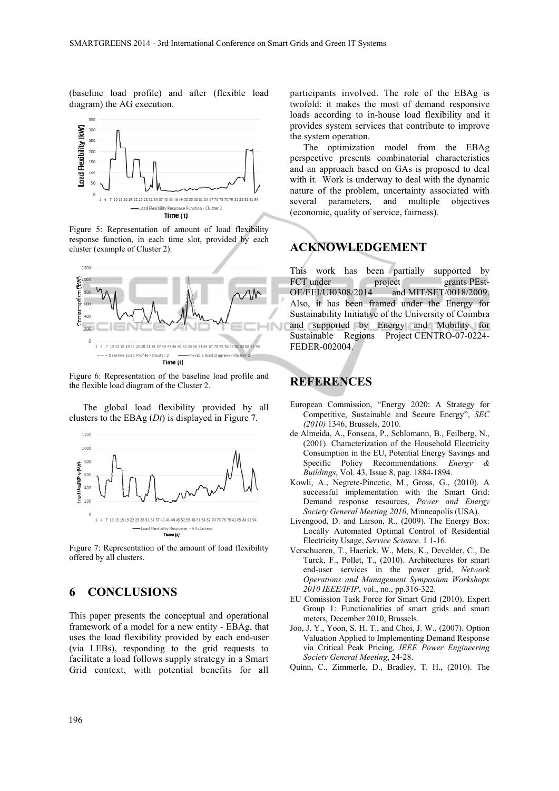(baseline load profile) and after (flexible load diagram) the AG execution.



Figure 5: Representation of amount of load flexibility response function, in each time slot, provided by each cluster (example of Cluster 2).



Figure 6: Representation of the baseline load profile and the flexible load diagram of the Cluster 2.

The global load flexibility provided by all clusters to the EBAg (*Dt*) is displayed in Figure 7.



Figure 7: Representation of the amount of load flexibility offered by all clusters.

# **6 CONCLUSIONS**

This paper presents the conceptual and operational framework of a model for a new entity - EBAg, that uses the load flexibility provided by each end-user (via LEBs), responding to the grid requests to facilitate a load follows supply strategy in a Smart Grid context, with potential benefits for all participants involved. The role of the EBAg is twofold: it makes the most of demand responsive loads according to in-house load flexibility and it provides system services that contribute to improve the system operation.

The optimization model from the EBAg perspective presents combinatorial characteristics and an approach based on GAs is proposed to deal with it. Work is underway to deal with the dynamic nature of the problem, uncertainty associated with several parameters, and multiple objectives (economic, quality of service, fairness).

### **ACKNOWLEDGEMENT**

This work has been partially supported by FCT under project grants PEst-OE/EEI/UI0308/2014 and MIT/SET/0018/2009. Also, it has been framed under the Energy for Sustainability Initiative of the University of Coimbra and supported by Energy and Mobility for Sustainable Regions Project CENTRO-07-0224- FEDER-002004.

### **REFERENCES**

- European Commission, "Energy 2020: A Strategy for Competitive, Sustainable and Secure Energy", *SEC (2010)* 1346, Brussels, 2010.
- de Almeida, A., Fonseca, P., Schlomann, B., Feilberg, N., (2001). Characterization of the Household Electricity Consumption in the EU, Potential Energy Savings and Specific Policy Recommendations. *Energy Buildings*, Vol. 43, Issue 8, pag. 1884-1894.
- Kowli, A., Negrete-Pincetic, M., Gross, G., (2010). A successful implementation with the Smart Grid: Demand response resources, *Power and Energy Society General Meeting 2010*, Minneapolis (USA).
- Livengood, D. and Larson, R., (2009). The Energy Box: Locally Automated Optimal Control of Residential Electricity Usage, *Service Science*. 1 1-16.
- Verschueren, T., Haerick, W., Mets, K., Develder, C., De Turck, F., Pollet, T., (2010). Architectures for smart end-user services in the power grid, *Network Operations and Management Symposium Workshops 2010 IEEE/IFIP*, vol., no., pp.316-322.
- EU Comission Task Force for Smart Grid (2010). Expert Group 1: Functionalities of smart grids and smart meters, December 2010, Brussels.
- Joo, J. Y., Yoon, S. H. T., and Choi, J. W., (2007). Option Valuation Applied to Implementing Demand Response via Critical Peak Pricing, *IEEE Power Engineering Society General Meeting*, 24-28.
- Quinn, C., Zimmerle, D., Bradley, T. H., (2010). The